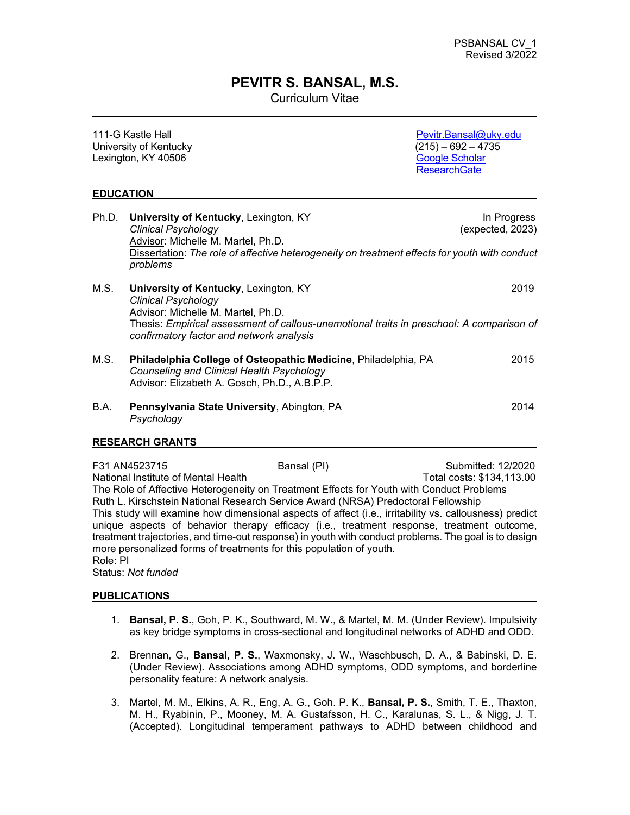### **PEVITR S. BANSAL, M.S.**

Curriculum Vitae

| 111-G Kastle Hall<br>University of Kentucky<br>Lexington, KY 40506 |                                                                              |                                                                                                                                                             | Pevitr.Bansal@uky.edu<br>$(215) - 692 - 4735$<br><b>Google Scholar</b><br><b>ResearchGate</b>                                    |
|--------------------------------------------------------------------|------------------------------------------------------------------------------|-------------------------------------------------------------------------------------------------------------------------------------------------------------|----------------------------------------------------------------------------------------------------------------------------------|
|                                                                    | <b>EDUCATION</b>                                                             |                                                                                                                                                             |                                                                                                                                  |
| Ph.D.                                                              | <b>Clinical Psychology</b><br>Advisor: Michelle M. Martel, Ph.D.<br>problems | University of Kentucky, Lexington, KY                                                                                                                       | In Progress<br>(expected, 2023)<br>Dissertation: The role of affective heterogeneity on treatment effects for youth with conduct |
| M.S.                                                               | <b>Clinical Psychology</b><br>Advisor: Michelle M. Martel, Ph.D.             | University of Kentucky, Lexington, KY<br>confirmatory factor and network analysis                                                                           | 2019<br>Thesis: Empirical assessment of callous-unemotional traits in preschool: A comparison of                                 |
| M.S.                                                               |                                                                              | Philadelphia College of Osteopathic Medicine, Philadelphia, PA<br>Counseling and Clinical Health Psychology<br>Advisor: Elizabeth A. Gosch, Ph.D., A.B.P.P. | 2015                                                                                                                             |
| B.A.                                                               | Psychology                                                                   | Pennsylvania State University, Abington, PA                                                                                                                 | 2014                                                                                                                             |
|                                                                    | <b>RESEARCH GRANTS</b>                                                       |                                                                                                                                                             |                                                                                                                                  |
|                                                                    | F31 AN4523715                                                                | Bansal (PI)                                                                                                                                                 | Submitted: 12/2020                                                                                                               |

National Institute of Mental Health Total costs: \$134,113.00 The Role of Affective Heterogeneity on Treatment Effects for Youth with Conduct Problems Ruth L. Kirschstein National Research Service Award (NRSA) Predoctoral Fellowship This study will examine how dimensional aspects of affect (i.e., irritability vs. callousness) predict unique aspects of behavior therapy efficacy (i.e., treatment response, treatment outcome, treatment trajectories, and time-out response) in youth with conduct problems. The goal is to design more personalized forms of treatments for this population of youth. Role: PI

Status: *Not funded*

### **PUBLICATIONS**

- 1. **Bansal, P. S.**, Goh, P. K., Southward, M. W., & Martel, M. M. (Under Review). Impulsivity as key bridge symptoms in cross-sectional and longitudinal networks of ADHD and ODD.
- 2. Brennan, G., **Bansal, P. S.**, Waxmonsky, J. W., Waschbusch, D. A., & Babinski, D. E. (Under Review). Associations among ADHD symptoms, ODD symptoms, and borderline personality feature: A network analysis.
- 3. Martel, M. M., Elkins, A. R., Eng, A. G., Goh. P. K., **Bansal, P. S.**, Smith, T. E., Thaxton, M. H., Ryabinin, P., Mooney, M. A. Gustafsson, H. C., Karalunas, S. L., & Nigg, J. T. (Accepted). Longitudinal temperament pathways to ADHD between childhood and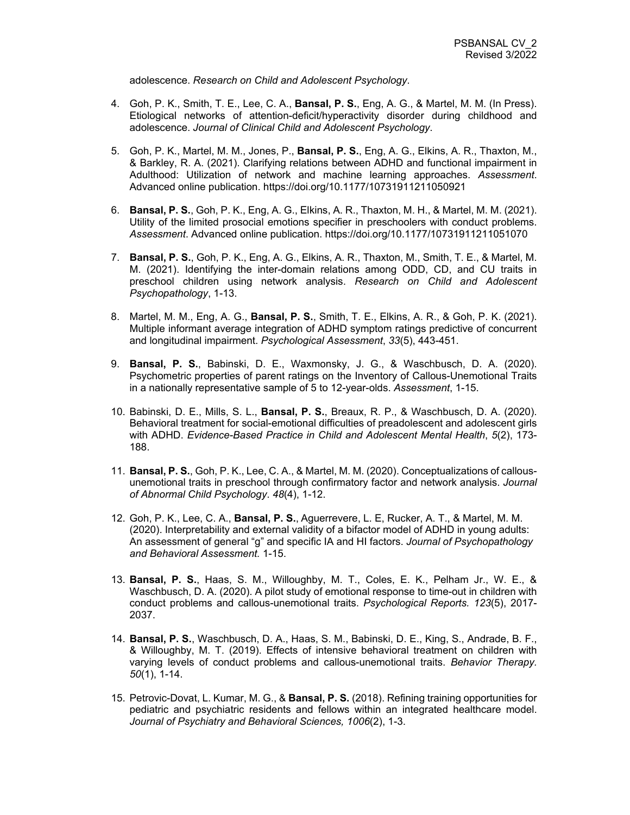adolescence. *Research on Child and Adolescent Psychology*.

- 4. Goh, P. K., Smith, T. E., Lee, C. A., **Bansal, P. S.**, Eng, A. G., & Martel, M. M. (In Press). Etiological networks of attention-deficit/hyperactivity disorder during childhood and adolescence. *Journal of Clinical Child and Adolescent Psychology*.
- 5. Goh, P. K., Martel, M. M., Jones, P., **Bansal, P. S.**, Eng, A. G., Elkins, A. R., Thaxton, M., & Barkley, R. A. (2021). Clarifying relations between ADHD and functional impairment in Adulthood: Utilization of network and machine learning approaches. *Assessment*. Advanced online publication. https://doi.org/10.1177/10731911211050921
- 6. **Bansal, P. S.**, Goh, P. K., Eng, A. G., Elkins, A. R., Thaxton, M. H., & Martel, M. M. (2021). Utility of the limited prosocial emotions specifier in preschoolers with conduct problems. *Assessment*. Advanced online publication. https://doi.org/10.1177/10731911211051070
- 7. **Bansal, P. S.**, Goh, P. K., Eng, A. G., Elkins, A. R., Thaxton, M., Smith, T. E., & Martel, M. M. (2021). Identifying the inter-domain relations among ODD, CD, and CU traits in preschool children using network analysis. *Research on Child and Adolescent Psychopathology*, 1-13.
- 8. Martel, M. M., Eng, A. G., **Bansal, P. S.**, Smith, T. E., Elkins, A. R., & Goh, P. K. (2021). Multiple informant average integration of ADHD symptom ratings predictive of concurrent and longitudinal impairment. *Psychological Assessment*, *33*(5), 443-451.
- 9. **Bansal, P. S.**, Babinski, D. E., Waxmonsky, J. G., & Waschbusch, D. A. (2020). Psychometric properties of parent ratings on the Inventory of Callous-Unemotional Traits in a nationally representative sample of 5 to 12-year-olds. *Assessment*, 1-15.
- 10. Babinski, D. E., Mills, S. L., **Bansal, P. S.**, Breaux, R. P., & Waschbusch, D. A. (2020). Behavioral treatment for social-emotional difficulties of preadolescent and adolescent girls with ADHD. *Evidence-Based Practice in Child and Adolescent Mental Health*, *5*(2), 173- 188.
- 11. **Bansal, P. S.**, Goh, P. K., Lee, C. A., & Martel, M. M. (2020). Conceptualizations of callousunemotional traits in preschool through confirmatory factor and network analysis. *Journal of Abnormal Child Psychology*. *48*(4), 1-12.
- 12. Goh, P. K., Lee, C. A., **Bansal, P. S.**, Aguerrevere, L. E, Rucker, A. T., & Martel, M. M. (2020). Interpretability and external validity of a bifactor model of ADHD in young adults: An assessment of general "g" and specific IA and HI factors. *Journal of Psychopathology and Behavioral Assessment.* 1-15.
- 13. **Bansal, P. S.**, Haas, S. M., Willoughby, M. T., Coles, E. K., Pelham Jr., W. E., & Waschbusch, D. A. (2020). A pilot study of emotional response to time-out in children with conduct problems and callous-unemotional traits. *Psychological Reports. 123*(5), 2017- 2037.
- 14. **Bansal, P. S.**, Waschbusch, D. A., Haas, S. M., Babinski, D. E., King, S., Andrade, B. F., & Willoughby, M. T. (2019). Effects of intensive behavioral treatment on children with varying levels of conduct problems and callous-unemotional traits. *Behavior Therapy. 50*(1), 1-14.
- 15. Petrovic-Dovat, L. Kumar, M. G., & **Bansal, P. S.** (2018). Refining training opportunities for pediatric and psychiatric residents and fellows within an integrated healthcare model. *Journal of Psychiatry and Behavioral Sciences, 1006*(2), 1-3.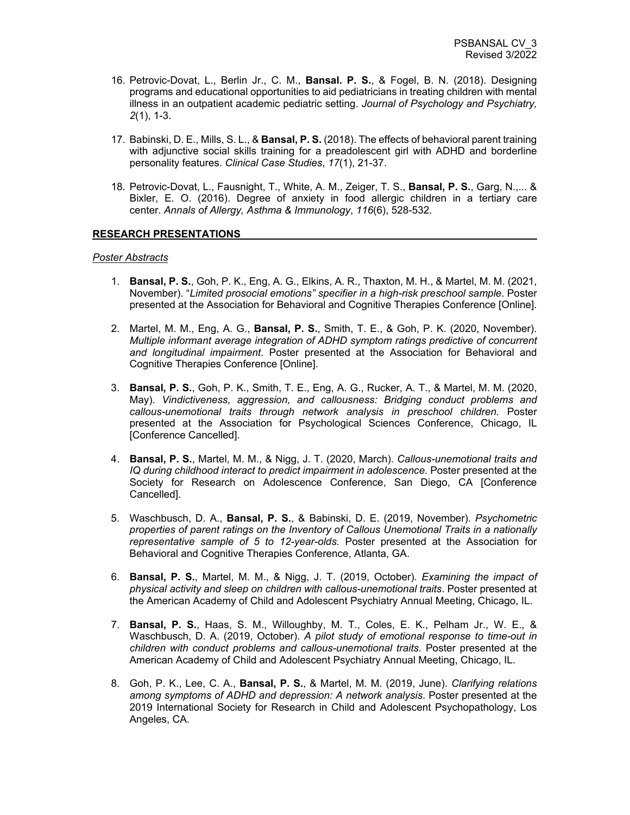- 16. Petrovic-Dovat, L., Berlin Jr., C. M., **Bansal. P. S.**, & Fogel, B. N. (2018). Designing programs and educational opportunities to aid pediatricians in treating children with mental illness in an outpatient academic pediatric setting. *Journal of Psychology and Psychiatry, 2*(1), 1-3.
- 17. Babinski, D. E., Mills, S. L., & **Bansal, P. S.** (2018). The effects of behavioral parent training with adjunctive social skills training for a preadolescent girl with ADHD and borderline personality features. *Clinical Case Studies*, *17*(1), 21-37.
- 18. Petrovic-Dovat, L., Fausnight, T., White, A. M., Zeiger, T. S., **Bansal, P. S.**, Garg, N.,... & Bixler, E. O. (2016). Degree of anxiety in food allergic children in a tertiary care center. *Annals of Allergy, Asthma & Immunology*, *116*(6), 528-532.

### **RESEARCH PRESENTATIONS**

### *Poster Abstracts*

- 1. **Bansal, P. S.**, Goh, P. K., Eng, A. G., Elkins, A. R., Thaxton, M. H., & Martel, M. M. (2021, November). "*Limited prosocial emotions" specifier in a high-risk preschool sample*. Poster presented at the Association for Behavioral and Cognitive Therapies Conference [Online].
- 2. Martel, M. M., Eng, A. G., **Bansal, P. S.**, Smith, T. E., & Goh, P. K. (2020, November). *Multiple informant average integration of ADHD symptom ratings predictive of concurrent and longitudinal impairment*. Poster presented at the Association for Behavioral and Cognitive Therapies Conference [Online].
- 3. **Bansal, P. S.**, Goh, P. K., Smith, T. E., Eng, A. G., Rucker, A. T., & Martel, M. M. (2020, May). *Vindictiveness, aggression, and callousness: Bridging conduct problems and callous-unemotional traits through network analysis in preschool children.* Poster presented at the Association for Psychological Sciences Conference, Chicago, IL [Conference Cancelled].
- 4. **Bansal, P. S.**, Martel, M. M., & Nigg, J. T. (2020, March). *Callous-unemotional traits and IQ during childhood interact to predict impairment in adolescence.* Poster presented at the Society for Research on Adolescence Conference, San Diego, CA [Conference Cancelled].
- 5. Waschbusch, D. A., **Bansal, P. S.**, & Babinski, D. E. (2019, November). *Psychometric properties of parent ratings on the Inventory of Callous Unemotional Traits in a nationally representative sample of 5 to 12-year-olds.* Poster presented at the Association for Behavioral and Cognitive Therapies Conference, Atlanta, GA.
- 6. **Bansal, P. S.**, Martel, M. M., & Nigg, J. T. (2019, October). *Examining the impact of physical activity and sleep on children with callous-unemotional traits*. Poster presented at the American Academy of Child and Adolescent Psychiatry Annual Meeting, Chicago, IL.
- 7. **Bansal, P. S.**, Haas, S. M., Willoughby, M. T., Coles, E. K., Pelham Jr., W. E., & Waschbusch, D. A. (2019, October). *A pilot study of emotional response to time-out in children with conduct problems and callous-unemotional traits.* Poster presented at the American Academy of Child and Adolescent Psychiatry Annual Meeting, Chicago, IL.
- 8. Goh, P. K., Lee, C. A., **Bansal, P. S.**, & Martel, M. M. (2019, June). *Clarifying relations among symptoms of ADHD and depression: A network analysis*. Poster presented at the 2019 International Society for Research in Child and Adolescent Psychopathology, Los Angeles, CA.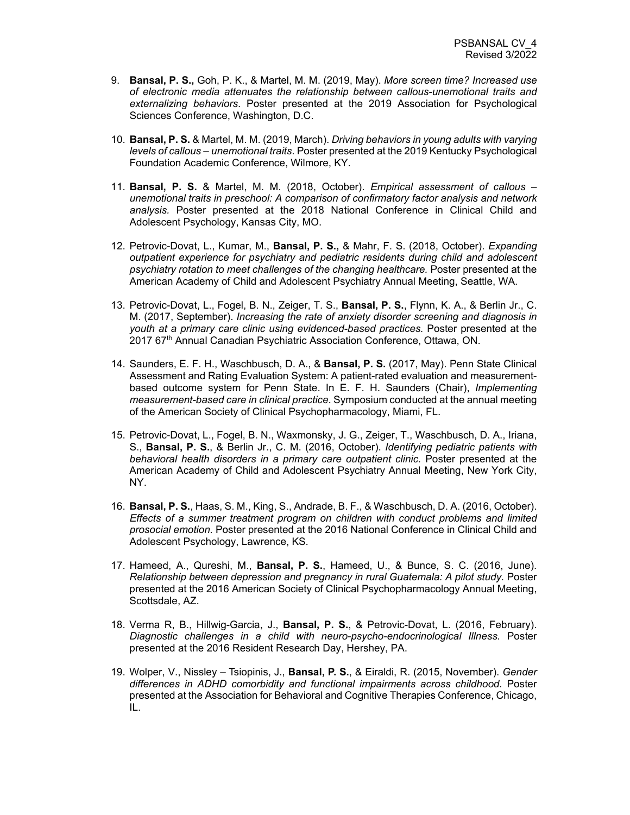- 9. **Bansal, P. S.,** Goh, P. K., & Martel, M. M. (2019, May). *More screen time? Increased use of electronic media attenuates the relationship between callous-unemotional traits and externalizing behaviors*. Poster presented at the 2019 Association for Psychological Sciences Conference, Washington, D.C.
- 10. **Bansal, P. S.** & Martel, M. M. (2019, March). *Driving behaviors in young adults with varying levels of callous – unemotional traits*. Poster presented at the 2019 Kentucky Psychological Foundation Academic Conference, Wilmore, KY.
- 11. **Bansal, P. S.** & Martel, M. M. (2018, October). *Empirical assessment of callous – unemotional traits in preschool: A comparison of confirmatory factor analysis and network analysis.* Poster presented at the 2018 National Conference in Clinical Child and Adolescent Psychology, Kansas City, MO.
- 12. Petrovic-Dovat, L., Kumar, M., **Bansal, P. S.,** & Mahr, F. S. (2018, October). *Expanding outpatient experience for psychiatry and pediatric residents during child and adolescent psychiatry rotation to meet challenges of the changing healthcare.* Poster presented at the American Academy of Child and Adolescent Psychiatry Annual Meeting, Seattle, WA.
- 13. Petrovic-Dovat, L., Fogel, B. N., Zeiger, T. S., **Bansal, P. S.**, Flynn, K. A., & Berlin Jr., C. M. (2017, September). *Increasing the rate of anxiety disorder screening and diagnosis in youth at a primary care clinic using evidenced-based practices.* Poster presented at the 2017 67<sup>th</sup> Annual Canadian Psychiatric Association Conference, Ottawa, ON.
- 14. Saunders, E. F. H., Waschbusch, D. A., & **Bansal, P. S.** (2017, May). Penn State Clinical Assessment and Rating Evaluation System: A patient-rated evaluation and measurementbased outcome system for Penn State. In E. F. H. Saunders (Chair), *Implementing measurement-based care in clinical practice*. Symposium conducted at the annual meeting of the American Society of Clinical Psychopharmacology, Miami, FL.
- 15. Petrovic-Dovat, L., Fogel, B. N., Waxmonsky, J. G., Zeiger, T., Waschbusch, D. A., Iriana, S., **Bansal, P. S.**, & Berlin Jr., C. M. (2016, October). *Identifying pediatric patients with behavioral health disorders in a primary care outpatient clinic.* Poster presented at the American Academy of Child and Adolescent Psychiatry Annual Meeting, New York City, NY.
- 16. **Bansal, P. S.**, Haas, S. M., King, S., Andrade, B. F., & Waschbusch, D. A. (2016, October). *Effects of a summer treatment program on children with conduct problems and limited prosocial emotion.* Poster presented at the 2016 National Conference in Clinical Child and Adolescent Psychology, Lawrence, KS.
- 17. Hameed, A., Qureshi, M., **Bansal, P. S.**, Hameed, U., & Bunce, S. C. (2016, June). *Relationship between depression and pregnancy in rural Guatemala: A pilot study.* Poster presented at the 2016 American Society of Clinical Psychopharmacology Annual Meeting, Scottsdale, AZ.
- 18. Verma R, B., Hillwig-Garcia, J., **Bansal, P. S.**, & Petrovic-Dovat, L. (2016, February). *Diagnostic challenges in a child with neuro-psycho-endocrinological Illness.* Poster presented at the 2016 Resident Research Day, Hershey, PA.
- 19. Wolper, V., Nissley Tsiopinis, J., **Bansal, P. S.**, & Eiraldi, R. (2015, November). *Gender differences in ADHD comorbidity and functional impairments across childhood.* Poster presented at the Association for Behavioral and Cognitive Therapies Conference, Chicago, IL.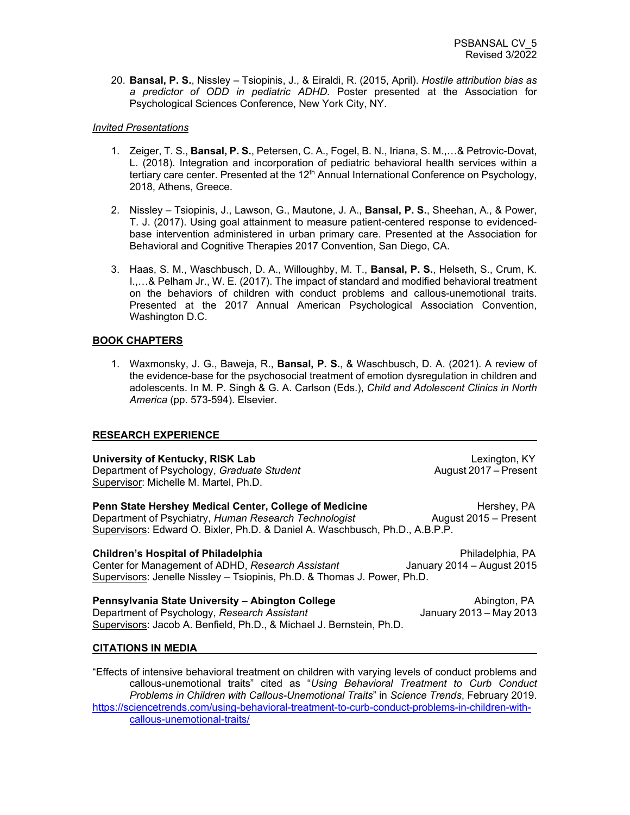20. **Bansal, P. S.**, Nissley – Tsiopinis, J., & Eiraldi, R. (2015, April). *Hostile attribution bias as a predictor of ODD in pediatric ADHD.* Poster presented at the Association for Psychological Sciences Conference, New York City, NY.

### *Invited Presentations*

- 1. Zeiger, T. S., **Bansal, P. S.**, Petersen, C. A., Fogel, B. N., Iriana, S. M.,…& Petrovic-Dovat, L. (2018). Integration and incorporation of pediatric behavioral health services within a tertiary care center. Presented at the 12<sup>th</sup> Annual International Conference on Psychology, 2018, Athens, Greece.
- 2. Nissley Tsiopinis, J., Lawson, G., Mautone, J. A., **Bansal, P. S.**, Sheehan, A., & Power, T. J. (2017). Using goal attainment to measure patient-centered response to evidencedbase intervention administered in urban primary care. Presented at the Association for Behavioral and Cognitive Therapies 2017 Convention, San Diego, CA.
- 3. Haas, S. M., Waschbusch, D. A., Willoughby, M. T., **Bansal, P. S.**, Helseth, S., Crum, K. I.,…& Pelham Jr., W. E. (2017). The impact of standard and modified behavioral treatment on the behaviors of children with conduct problems and callous-unemotional traits. Presented at the 2017 Annual American Psychological Association Convention, Washington D.C.

### **BOOK CHAPTERS**

1. Waxmonsky, J. G., Baweja, R., **Bansal, P. S.**, & Waschbusch, D. A. (2021). A review of the evidence-base for the psychosocial treatment of emotion dysregulation in children and adolescents. In M. P. Singh & G. A. Carlson (Eds.), *Child and Adolescent Clinics in North America* (pp. 573-594). Elsevier.

### **RESEARCH EXPERIENCE**

### **University of Kentucky, RISK Lab** Lexington, KY Department of Psychology, *Graduate Student* Supervisor: Michelle M. Martel, Ph.D. **Penn State Hershey Medical Center, College of Medicine Hershey, PA** Department of Psychiatry, *Human Research Technologist* August 2015 – Present Supervisors: Edward O. Bixler, Ph.D. & Daniel A. Waschbusch, Ph.D., A.B.P.P. **Children's Hospital of Philadelphia**<br>Center for Management of ADHD, *Research Assistant* January 2014 – August 2015 Center for Management of ADHD, *Research Assistant* Supervisors: Jenelle Nissley – Tsiopinis, Ph.D. & Thomas J. Power, Ph.D.

**Pennsylvania State University – Abington College** Abington, PA Department of Psychology, *Research Assistant* Supervisors: Jacob A. Benfield, Ph.D., & Michael J. Bernstein, Ph.D.

### **CITATIONS IN MEDIA**

"Effects of intensive behavioral treatment on children with varying levels of conduct problems and callous-unemotional traits" cited as "*Using Behavioral Treatment to Curb Conduct Problems in Children with Callous-Unemotional Traits*" in *Science Trends*, February 2019. [https://sciencetrends.com/using-behavioral-treatment-to-curb-conduct-problems-in-children-with](https://sciencetrends.com/using-behavioral-treatment-to-curb-conduct-problems-in-children-with-callous-unemotional-traits/)[callous-unemotional-traits/](https://sciencetrends.com/using-behavioral-treatment-to-curb-conduct-problems-in-children-with-callous-unemotional-traits/)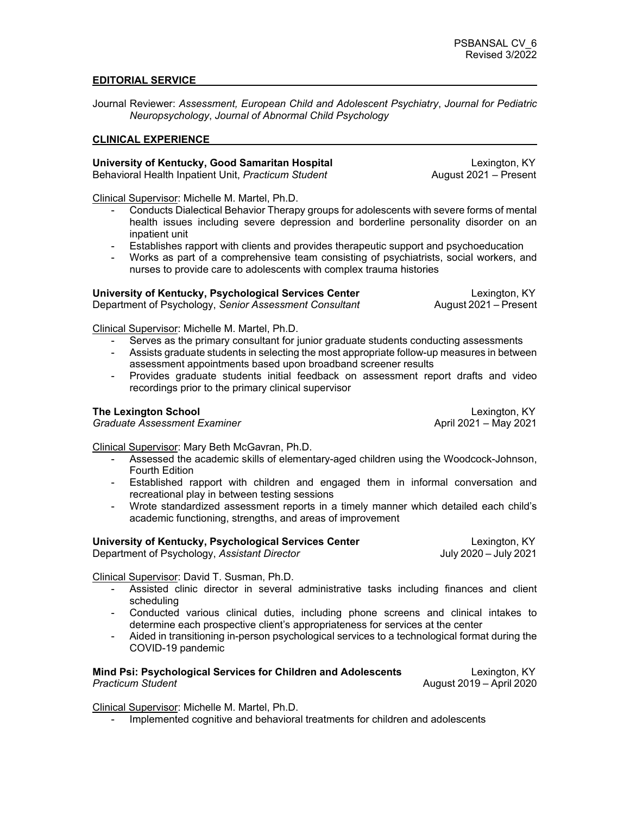### **EDITORIAL SERVICE**

Journal Reviewer: *Assessment, European Child and Adolescent Psychiatry*, *Journal for Pediatric Neuropsychology*, *Journal of Abnormal Child Psychology*

### **CLINICAL EXPERIENCE**

### **University of Kentucky, Good Samaritan Hospital** Lexington, KY<br>Behavioral Health Inpatient Unit, *Practicum Student* August 2021 – Present Behavioral Health Inpatient Unit, Practicum Student

Clinical Supervisor: Michelle M. Martel, Ph.D.

- Conducts Dialectical Behavior Therapy groups for adolescents with severe forms of mental health issues including severe depression and borderline personality disorder on an inpatient unit
- Establishes rapport with clients and provides therapeutic support and psychoeducation
- Works as part of a comprehensive team consisting of psychiatrists, social workers, and nurses to provide care to adolescents with complex trauma histories

| University of Kentucky, Psychological Services Center  |  |
|--------------------------------------------------------|--|
| Department of Psychology, Senior Assessment Consultant |  |

**Lexington, KY<br>August 2021 – Present** 

Clinical Supervisor: Michelle M. Martel, Ph.D.

- Serves as the primary consultant for junior graduate students conducting assessments
- Assists graduate students in selecting the most appropriate follow-up measures in between assessment appointments based upon broadband screener results
- Provides graduate students initial feedback on assessment report drafts and video recordings prior to the primary clinical supervisor

**Graduate Assessment Examiner** 

**The Lexington School**<br>Graduate Assessment Examiner and the control of the control of the Center of the Center of the Center of the C<br>April 2021 – May 2021

Clinical Supervisor: Mary Beth McGavran, Ph.D.

- Assessed the academic skills of elementary-aged children using the Woodcock-Johnson, Fourth Edition
- Established rapport with children and engaged them in informal conversation and recreational play in between testing sessions
- Wrote standardized assessment reports in a timely manner which detailed each child's academic functioning, strengths, and areas of improvement

**University of Kentucky, Psychological Services Center** Elexington, KY<br>Department of Psychology, *Assistant Director* Election Bully 2020 – July 2021 Department of Psychology, Assistant Director

Clinical Supervisor: David T. Susman, Ph.D.

- Assisted clinic director in several administrative tasks including finances and client scheduling
- Conducted various clinical duties, including phone screens and clinical intakes to determine each prospective client's appropriateness for services at the center
- Aided in transitioning in-person psychological services to a technological format during the COVID-19 pandemic

### **Mind Psi: Psychological Services for Children and Adolescents Lexington, KY** *Practicum Student* August 2019 – April 2020

Clinical Supervisor: Michelle M. Martel, Ph.D.

- Implemented cognitive and behavioral treatments for children and adolescents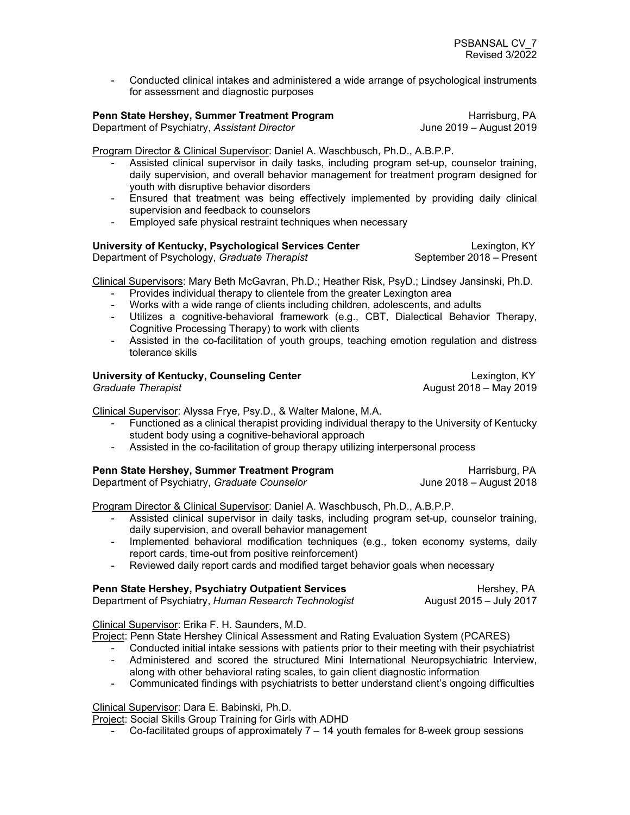- Conducted clinical intakes and administered a wide arrange of psychological instruments for assessment and diagnostic purposes

# **Penn State Hershey, Summer Treatment Program** Harrisburg, PA<br>Department of Psychiatry, Assistant Director **Harrisburg, 1994** June 2019 – August 2019

Department of Psychiatry, Assistant Director

Program Director & Clinical Supervisor: Daniel A. Waschbusch, Ph.D., A.B.P.P.

- Assisted clinical supervisor in daily tasks, including program set-up, counselor training, daily supervision, and overall behavior management for treatment program designed for youth with disruptive behavior disorders
- Ensured that treatment was being effectively implemented by providing daily clinical supervision and feedback to counselors
- Employed safe physical restraint techniques when necessary

## **University of Kentucky, Psychological Services Center Lexington, KY**

Department of Psychology, *Graduate Therapist* **September 2018** – Present

Clinical Supervisors: Mary Beth McGavran, Ph.D.; Heather Risk, PsyD.; Lindsey Jansinski, Ph.D.

- Provides individual therapy to clientele from the greater Lexington area
- Works with a wide range of clients including children, adolescents, and adults
- Utilizes a cognitive-behavioral framework (e.g., CBT, Dialectical Behavior Therapy, Cognitive Processing Therapy) to work with clients
- Assisted in the co-facilitation of youth groups, teaching emotion regulation and distress tolerance skills

# **University of Kentucky, Counseling Center Lexington, KY**<br>Graduate Therapist **Counseling Center Lexington, KY Constant COSE**

*Graduate Therapist* August 2018 – May 2019

Clinical Supervisor: Alyssa Frye, Psy.D., & Walter Malone, M.A.

- Functioned as a clinical therapist providing individual therapy to the University of Kentucky student body using a cognitive-behavioral approach
- Assisted in the co-facilitation of group therapy utilizing interpersonal process

# **Penn State Hershey, Summer Treatment Program** Freedom Harrisburg, PA<br>Department of Psychiatry. *Graduate Counselor* Freedom Harrisburg, PA June 2018 – August 2018

Department of Psychiatry, *Graduate Counselor* 

Program Director & Clinical Supervisor: Daniel A. Waschbusch, Ph.D., A.B.P.P.

- Assisted clinical supervisor in daily tasks, including program set-up, counselor training, daily supervision, and overall behavior management
- Implemented behavioral modification techniques (e.g., token economy systems, daily report cards, time-out from positive reinforcement)
- Reviewed daily report cards and modified target behavior goals when necessary

| <b>Penn State Hershey, Psychiatry Outpatient Services</b> | Hershey, PA             |
|-----------------------------------------------------------|-------------------------|
| Department of Psychiatry, Human Research Technologist     | August 2015 – July 2017 |

Clinical Supervisor: Erika F. H. Saunders, M.D.

Project: Penn State Hershey Clinical Assessment and Rating Evaluation System (PCARES)

- Conducted initial intake sessions with patients prior to their meeting with their psychiatrist
- Administered and scored the structured Mini International Neuropsychiatric Interview, along with other behavioral rating scales, to gain client diagnostic information
- Communicated findings with psychiatrists to better understand client's ongoing difficulties

Clinical Supervisor: Dara E. Babinski, Ph.D.

Project: Social Skills Group Training for Girls with ADHD

- Co-facilitated groups of approximately 7 – 14 youth females for 8-week group sessions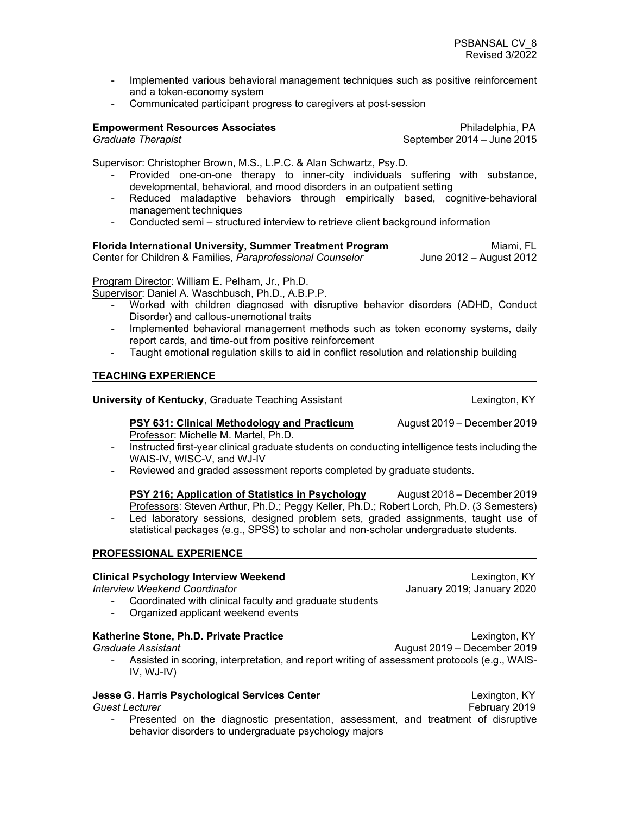- Implemented various behavioral management techniques such as positive reinforcement and a token-economy system
- Communicated participant progress to caregivers at post-session

**Empowerment Resources Associates Philadelphia, PA**<br>Graduate Therapist **Philadelphia, PA** September 2014 – June 2015 *Graduate Therapist* September 2014 – June 2015

Supervisor: Christopher Brown, M.S., L.P.C. & Alan Schwartz, Psy.D.

- Provided one-on-one therapy to inner-city individuals suffering with substance, developmental, behavioral, and mood disorders in an outpatient setting
- Reduced maladaptive behaviors through empirically based, cognitive-behavioral management techniques
- Conducted semi structured interview to retrieve client background information

### **Florida International University, Summer Treatment Program Miami, FL Miami, FL** Center for Children & Families, *Paraprofessional Counselor* June 2012 – August 2012

Program Director: William E. Pelham, Jr., Ph.D.

Supervisor: Daniel A. Waschbusch, Ph.D., A.B.P.P.

- Worked with children diagnosed with disruptive behavior disorders (ADHD, Conduct Disorder) and callous-unemotional traits
- Implemented behavioral management methods such as token economy systems, daily report cards, and time-out from positive reinforcement
- Taught emotional regulation skills to aid in conflict resolution and relationship building

### **TEACHING EXPERIENCE**

**University of Kentucky**, Graduate Teaching Assistant **Lexington, Kanadiate Contract Contract** Lexington, KY

### **PSY 631: Clinical Methodology and Practicum** August 2019 – December 2019 Professor: Michelle M. Martel, Ph.D.

- Instructed first-year clinical graduate students on conducting intelligence tests including the WAIS-IV, WISC-V, and WJ-IV
- Reviewed and graded assessment reports completed by graduate students.
- **PSY 216: Application of Statistics in Psychology** August 2018 December 2019 Professors: Steven Arthur, Ph.D.; Peggy Keller, Ph.D.; Robert Lorch, Ph.D. (3 Semesters) - Led laboratory sessions, designed problem sets, graded assignments, taught use of statistical packages (e.g., SPSS) to scholar and non-scholar undergraduate students.

### **PROFESSIONAL EXPERIENCE**

### **Clinical Psychology Interview Weekend** Lexington, KY *Interview Weekend Coordinator* January 2019; January 2020

- Coordinated with clinical faculty and graduate students
- Organized applicant weekend events

### **Katherine Stone, Ph.D. Private Practice Lexington, KY**

*Graduate Assistant* August 2019 – December 2019 Assisted in scoring, interpretation, and report writing of assessment protocols (e.g., WAIS-IV, WJ-IV)

## **Jesse G. Harris Psychological Services Center** Mateur Manuel Mexington, KY<br>Guest Lecturer Lecturer Construction of the Cuest Lecturer And Tebruary 2019

- Presented on the diagnostic presentation, assessment, and treatment of disruptive behavior disorders to undergraduate psychology majors

February 2019